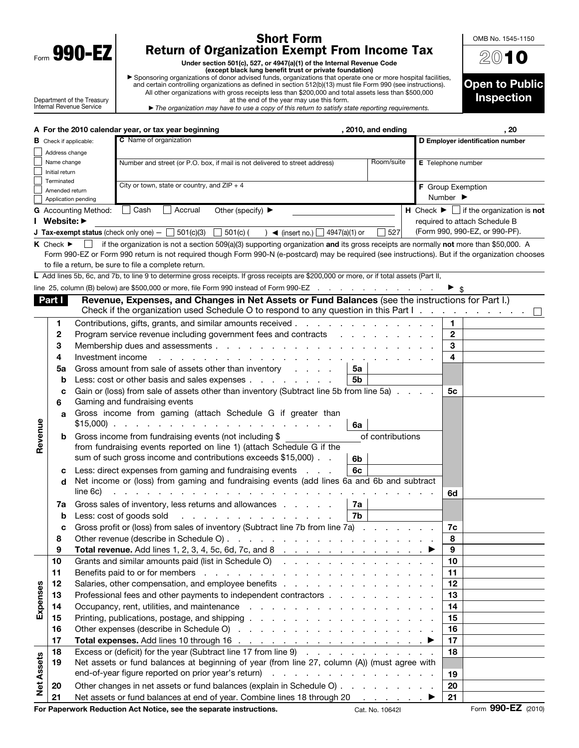| )Qr<br>Form<br>м |  |
|------------------|--|
|                  |  |

 $\mathbf{I}$ 

## Short Form Return of Organization Exempt From Income Tax

Under section 501(c), 527, or 4947(a)(1) of the Internal Revenue Code<br>► Sponsoring organizations of donor advised funds trust or private foundation)<br>and certain controlling organizations as defined in section 512(b)(13) m All other organizations with gross receipts less than \$200,000 and total assets less than \$500,000 at the end of the year may use this form.

2010 Open to Public Inspection

OMB No. 1545-1150

| Department of the Treasury |  |
|----------------------------|--|
| Internal Revenue Service   |  |

**B** Check if applicable:

▶ *The organization may have to use a copy of this return to satisfy state reporting requirements.* A For the 2010 calendar year, or tax year beginning and the state of the state of the 2010, and ending , 2010, and ending , 20 C Name of organization D Employer identification number

|                   | Address change                  |                                                                 |                                                                                                                                                   |                  |  |                    |                                                                    |                    |  |  |
|-------------------|---------------------------------|-----------------------------------------------------------------|---------------------------------------------------------------------------------------------------------------------------------------------------|------------------|--|--------------------|--------------------------------------------------------------------|--------------------|--|--|
|                   | Name change                     |                                                                 | Number and street (or P.O. box, if mail is not delivered to street address)                                                                       | Room/suite       |  | E Telephone number |                                                                    |                    |  |  |
|                   | Initial return                  |                                                                 |                                                                                                                                                   |                  |  |                    |                                                                    |                    |  |  |
|                   | Terminated                      | City or town, state or country, and $ZIP + 4$<br>Amended return |                                                                                                                                                   |                  |  |                    | <b>F</b> Group Exemption                                           |                    |  |  |
|                   |                                 | Application pending                                             |                                                                                                                                                   |                  |  |                    | Number $\blacktriangleright$                                       |                    |  |  |
|                   |                                 | <b>G</b> Accounting Method:                                     | l Cash<br>Accrual<br>Other (specify) $\blacktriangleright$                                                                                        |                  |  |                    | H Check $\blacktriangleright \bigsqcup$ if the organization is not |                    |  |  |
|                   | I Website: ▶                    |                                                                 |                                                                                                                                                   |                  |  |                    | required to attach Schedule B                                      |                    |  |  |
|                   |                                 |                                                                 | <b>J Tax-exempt status</b> (check only one) $ \Box$ 501(c)(3)<br>$\Box$ 501(c) (<br>) $\blacktriangleleft$ (insert no.) $\Box$ 4947(a)(1) or      | 527              |  |                    | (Form 990, 990-EZ, or 990-PF).                                     |                    |  |  |
|                   | $K$ Check $\blacktriangleright$ |                                                                 | if the organization is not a section 509(a)(3) supporting organization and its gross receipts are normally not more than \$50,000. A              |                  |  |                    |                                                                    |                    |  |  |
|                   |                                 |                                                                 | Form 990-EZ or Form 990 return is not required though Form 990-N (e-postcard) may be required (see instructions). But if the organization chooses |                  |  |                    |                                                                    |                    |  |  |
|                   |                                 |                                                                 | to file a return, be sure to file a complete return.                                                                                              |                  |  |                    |                                                                    |                    |  |  |
|                   |                                 |                                                                 | L Add lines 5b, 6c, and 7b, to line 9 to determine gross receipts. If gross receipts are \$200,000 or more, or if total assets (Part II,          |                  |  |                    |                                                                    |                    |  |  |
|                   |                                 |                                                                 | line 25, column (B) below) are \$500,000 or more, file Form 990 instead of Form 990-EZ                                                            |                  |  |                    |                                                                    |                    |  |  |
|                   | Part I                          |                                                                 | Revenue, Expenses, and Changes in Net Assets or Fund Balances (see the instructions for Part I.)                                                  |                  |  |                    |                                                                    |                    |  |  |
|                   |                                 |                                                                 | Check if the organization used Schedule O to respond to any question in this Part I                                                               |                  |  |                    |                                                                    |                    |  |  |
|                   | 1                               |                                                                 | Contributions, gifts, grants, and similar amounts received                                                                                        |                  |  | $\mathbf{1}$       |                                                                    |                    |  |  |
|                   | 2                               |                                                                 | Program service revenue including government fees and contracts                                                                                   |                  |  | $\mathbf{2}$       |                                                                    |                    |  |  |
|                   | 3                               |                                                                 |                                                                                                                                                   |                  |  | 3                  |                                                                    |                    |  |  |
|                   | 4                               | Investment income                                               | and a series of the contract of the contract of the contract of                                                                                   |                  |  | 4                  |                                                                    |                    |  |  |
|                   | 5a                              |                                                                 | Gross amount from sale of assets other than inventory<br>5a                                                                                       |                  |  |                    |                                                                    |                    |  |  |
|                   | b                               |                                                                 | Less: cost or other basis and sales expenses<br>5b                                                                                                |                  |  |                    |                                                                    |                    |  |  |
|                   | с                               |                                                                 | Gain or (loss) from sale of assets other than inventory (Subtract line 5b from line 5a)                                                           |                  |  | 5с                 |                                                                    |                    |  |  |
|                   | 6                               |                                                                 | Gaming and fundraising events                                                                                                                     |                  |  |                    |                                                                    |                    |  |  |
|                   | a                               |                                                                 | Gross income from gaming (attach Schedule G if greater than                                                                                       |                  |  |                    |                                                                    |                    |  |  |
|                   |                                 |                                                                 | $$15,000$<br>6a                                                                                                                                   |                  |  |                    |                                                                    |                    |  |  |
| Revenue           | b                               |                                                                 | Gross income from fundraising events (not including \$                                                                                            | of contributions |  |                    |                                                                    |                    |  |  |
|                   |                                 |                                                                 | from fundraising events reported on line 1) (attach Schedule G if the                                                                             |                  |  |                    |                                                                    |                    |  |  |
|                   |                                 |                                                                 | sum of such gross income and contributions exceeds \$15,000).<br>6b                                                                               |                  |  |                    |                                                                    |                    |  |  |
|                   | c                               |                                                                 | Less: direct expenses from gaming and fundraising events<br>6с<br>$\sim 100$ km s $^{-1}$                                                         |                  |  |                    |                                                                    |                    |  |  |
|                   | d                               |                                                                 | Net income or (loss) from gaming and fundraising events (add lines 6a and 6b and subtract                                                         |                  |  |                    |                                                                    |                    |  |  |
|                   |                                 | line 6c)                                                        |                                                                                                                                                   |                  |  | 6d                 |                                                                    |                    |  |  |
|                   | 7a                              |                                                                 | Gross sales of inventory, less returns and allowances<br>7a                                                                                       |                  |  |                    |                                                                    |                    |  |  |
|                   | b                               |                                                                 | 7b<br>Less: cost of goods sold<br><u>.</u>                                                                                                        |                  |  |                    |                                                                    |                    |  |  |
|                   | C                               |                                                                 | Gross profit or (loss) from sales of inventory (Subtract line 7b from line 7a)                                                                    |                  |  | 7c                 |                                                                    |                    |  |  |
|                   | 8                               |                                                                 |                                                                                                                                                   |                  |  | 8                  |                                                                    |                    |  |  |
|                   | 9                               |                                                                 |                                                                                                                                                   |                  |  | 9                  |                                                                    |                    |  |  |
|                   | 10                              |                                                                 | Grants and similar amounts paid (list in Schedule O)                                                                                              |                  |  | 10                 |                                                                    |                    |  |  |
|                   | 11                              |                                                                 |                                                                                                                                                   |                  |  | 11                 |                                                                    |                    |  |  |
|                   | 12                              |                                                                 | Salaries, other compensation, and employee benefits                                                                                               |                  |  | 12                 |                                                                    |                    |  |  |
| Expenses          | 13                              |                                                                 | Professional fees and other payments to independent contractors                                                                                   |                  |  | 13                 |                                                                    |                    |  |  |
|                   | 14                              |                                                                 |                                                                                                                                                   |                  |  | 14                 |                                                                    |                    |  |  |
|                   | 15                              |                                                                 |                                                                                                                                                   |                  |  | 15                 |                                                                    |                    |  |  |
|                   | 16                              |                                                                 |                                                                                                                                                   |                  |  | 16                 |                                                                    |                    |  |  |
|                   | 17                              |                                                                 |                                                                                                                                                   |                  |  | 17                 |                                                                    |                    |  |  |
|                   | 18                              |                                                                 | Excess or (deficit) for the year (Subtract line 17 from line 9)                                                                                   |                  |  | 18                 |                                                                    |                    |  |  |
|                   | 19                              |                                                                 | Net assets or fund balances at beginning of year (from line 27, column (A)) (must agree with                                                      |                  |  |                    |                                                                    |                    |  |  |
| <b>Net Assets</b> |                                 |                                                                 |                                                                                                                                                   |                  |  | 19                 |                                                                    |                    |  |  |
|                   | 20                              |                                                                 | Other changes in net assets or fund balances (explain in Schedule O)                                                                              |                  |  | 20                 |                                                                    |                    |  |  |
|                   | 21                              |                                                                 | Net assets or fund balances at end of year. Combine lines 18 through 20 ▶                                                                         |                  |  | 21                 |                                                                    |                    |  |  |
|                   |                                 |                                                                 | For Paperwork Reduction Act Notice, see the separate instructions.                                                                                | Cat. No. 10642I  |  |                    |                                                                    | Form 990-EZ (2010) |  |  |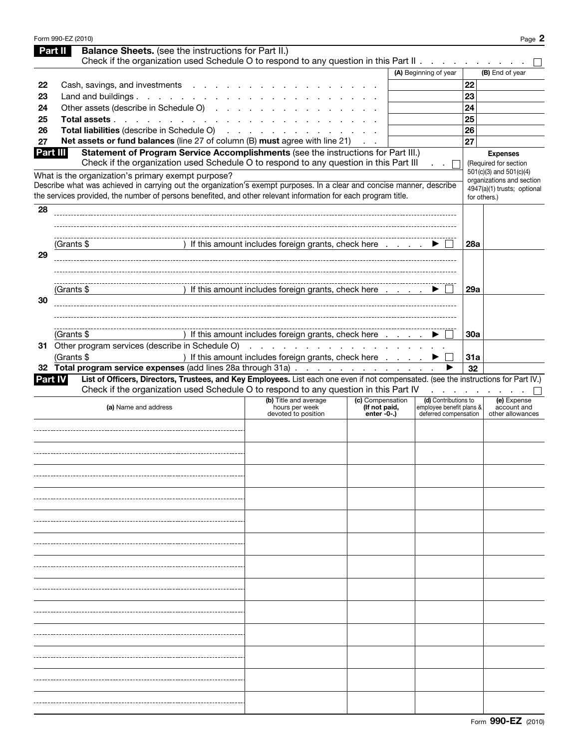|          | Form 990-EZ (2010)                                                                                                                                                                                                                                                                             |                                                                |                                                   |                                                                           |            |                                                                                                     | Page 2 |
|----------|------------------------------------------------------------------------------------------------------------------------------------------------------------------------------------------------------------------------------------------------------------------------------------------------|----------------------------------------------------------------|---------------------------------------------------|---------------------------------------------------------------------------|------------|-----------------------------------------------------------------------------------------------------|--------|
|          | <b>Balance Sheets.</b> (see the instructions for Part II.)<br>Part II                                                                                                                                                                                                                          |                                                                |                                                   |                                                                           |            |                                                                                                     |        |
|          | Check if the organization used Schedule O to respond to any question in this Part II.                                                                                                                                                                                                          |                                                                |                                                   |                                                                           |            |                                                                                                     |        |
|          |                                                                                                                                                                                                                                                                                                |                                                                |                                                   | (A) Beginning of year                                                     |            | (B) End of year                                                                                     |        |
| 22<br>23 | Cash, savings, and investments<br>Land and buildings                                                                                                                                                                                                                                           |                                                                |                                                   |                                                                           | 22<br>23   |                                                                                                     |        |
| 24       | Other assets (describe in Schedule O)                                                                                                                                                                                                                                                          |                                                                |                                                   |                                                                           | 24         |                                                                                                     |        |
| 25       | Total assets                                                                                                                                                                                                                                                                                   |                                                                |                                                   |                                                                           | 25         |                                                                                                     |        |
| 26       | Total liabilities (describe in Schedule O)                                                                                                                                                                                                                                                     | and a state of                                                 |                                                   |                                                                           | 26         |                                                                                                     |        |
| 27       | Net assets or fund balances (line 27 of column (B) must agree with line 21)                                                                                                                                                                                                                    |                                                                |                                                   |                                                                           | 27         |                                                                                                     |        |
| Part III | Statement of Program Service Accomplishments (see the instructions for Part III.)<br>Check if the organization used Schedule O to respond to any question in this Part III                                                                                                                     |                                                                |                                                   |                                                                           |            | <b>Expenses</b><br>(Required for section                                                            |        |
|          | What is the organization's primary exempt purpose?<br>Describe what was achieved in carrying out the organization's exempt purposes. In a clear and concise manner, describe<br>the services provided, the number of persons benefited, and other relevant information for each program title. |                                                                |                                                   |                                                                           |            | 501(c)(3) and 501(c)(4)<br>organizations and section<br>4947(a)(1) trusts; optional<br>for others.) |        |
| 28       |                                                                                                                                                                                                                                                                                                |                                                                |                                                   |                                                                           |            |                                                                                                     |        |
|          |                                                                                                                                                                                                                                                                                                |                                                                |                                                   |                                                                           |            |                                                                                                     |        |
| 29       | (Grants \$                                                                                                                                                                                                                                                                                     | If this amount includes foreign grants, check here             |                                                   |                                                                           | <b>28a</b> |                                                                                                     |        |
|          |                                                                                                                                                                                                                                                                                                |                                                                |                                                   |                                                                           |            |                                                                                                     |        |
| 30       | (Grants \$                                                                                                                                                                                                                                                                                     | If this amount includes foreign grants, check here             |                                                   |                                                                           | 29a        |                                                                                                     |        |
|          |                                                                                                                                                                                                                                                                                                |                                                                |                                                   |                                                                           |            |                                                                                                     |        |
|          | (Grants \$<br>31 Other program services (describe in Schedule O)                                                                                                                                                                                                                               | If this amount includes foreign grants, check here             |                                                   |                                                                           | 30a        |                                                                                                     |        |
|          | (Grants \$                                                                                                                                                                                                                                                                                     | ) If this amount includes foreign grants, check here           |                                                   |                                                                           | 31a        |                                                                                                     |        |
|          | 32 Total program service expenses (add lines 28a through 31a)                                                                                                                                                                                                                                  |                                                                |                                                   |                                                                           | 32         |                                                                                                     |        |
|          | List of Officers, Directors, Trustees, and Key Employees. List each one even if not compensated. (see the instructions for Part IV.)<br>Part IV                                                                                                                                                |                                                                |                                                   |                                                                           |            |                                                                                                     |        |
|          | Check if the organization used Schedule O to respond to any question in this Part IV                                                                                                                                                                                                           |                                                                |                                                   |                                                                           |            |                                                                                                     |        |
|          | (a) Name and address                                                                                                                                                                                                                                                                           | (b) Title and average<br>hours per week<br>devoted to position | (c) Compensation<br>(If not paid,<br>$enter -0-1$ | (d) Contributions to<br>employee benefit plans &<br>deferred compensation |            | (e) Expense<br>account and<br>other allowances                                                      |        |
|          |                                                                                                                                                                                                                                                                                                |                                                                |                                                   |                                                                           |            |                                                                                                     |        |
|          |                                                                                                                                                                                                                                                                                                |                                                                |                                                   |                                                                           |            |                                                                                                     |        |
|          |                                                                                                                                                                                                                                                                                                |                                                                |                                                   |                                                                           |            |                                                                                                     |        |
|          |                                                                                                                                                                                                                                                                                                |                                                                |                                                   |                                                                           |            |                                                                                                     |        |
|          |                                                                                                                                                                                                                                                                                                |                                                                |                                                   |                                                                           |            |                                                                                                     |        |
|          |                                                                                                                                                                                                                                                                                                |                                                                |                                                   |                                                                           |            |                                                                                                     |        |
|          |                                                                                                                                                                                                                                                                                                |                                                                |                                                   |                                                                           |            |                                                                                                     |        |
|          |                                                                                                                                                                                                                                                                                                |                                                                |                                                   |                                                                           |            |                                                                                                     |        |
|          |                                                                                                                                                                                                                                                                                                |                                                                |                                                   |                                                                           |            |                                                                                                     |        |
|          |                                                                                                                                                                                                                                                                                                |                                                                |                                                   |                                                                           |            |                                                                                                     |        |
|          |                                                                                                                                                                                                                                                                                                |                                                                |                                                   |                                                                           |            |                                                                                                     |        |
|          |                                                                                                                                                                                                                                                                                                |                                                                |                                                   |                                                                           |            |                                                                                                     |        |
|          |                                                                                                                                                                                                                                                                                                |                                                                |                                                   |                                                                           |            |                                                                                                     |        |
|          |                                                                                                                                                                                                                                                                                                |                                                                |                                                   |                                                                           |            |                                                                                                     |        |
|          |                                                                                                                                                                                                                                                                                                |                                                                |                                                   |                                                                           |            |                                                                                                     |        |
|          |                                                                                                                                                                                                                                                                                                |                                                                |                                                   |                                                                           |            |                                                                                                     |        |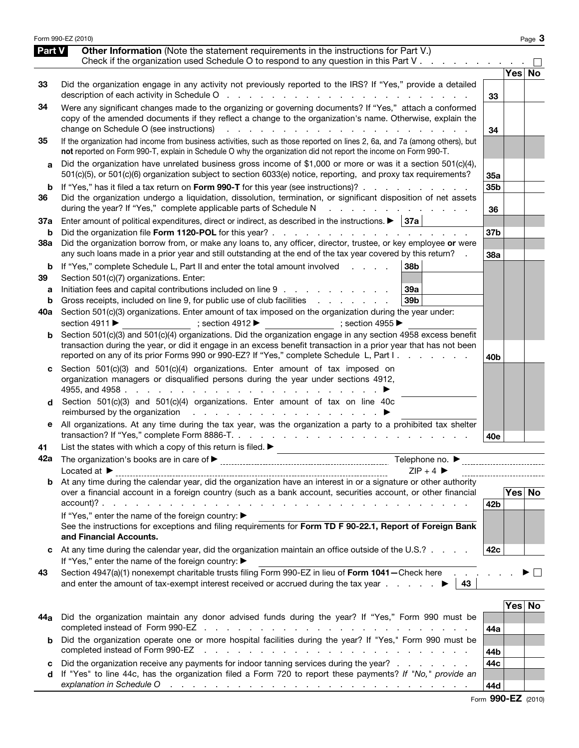|               | Form 990-EZ (2010)                                                                                                                                                                                                                                                                                                                                                             |                 |            | Page 3 |
|---------------|--------------------------------------------------------------------------------------------------------------------------------------------------------------------------------------------------------------------------------------------------------------------------------------------------------------------------------------------------------------------------------|-----------------|------------|--------|
| <b>Part V</b> | Other Information (Note the statement requirements in the instructions for Part V.)<br>Check if the organization used Schedule O to respond to any question in this Part V                                                                                                                                                                                                     |                 |            |        |
|               |                                                                                                                                                                                                                                                                                                                                                                                |                 | <b>Yes</b> | No     |
| 33            | Did the organization engage in any activity not previously reported to the IRS? If "Yes," provide a detailed                                                                                                                                                                                                                                                                   | 33              |            |        |
| 34            | Were any significant changes made to the organizing or governing documents? If "Yes," attach a conformed<br>copy of the amended documents if they reflect a change to the organization's name. Otherwise, explain the<br>change on Schedule O (see instructions)<br>$\mathbf{L} = \mathbf{L}$<br>and a state of the state of the state of                                      | 34              |            |        |
| 35            | If the organization had income from business activities, such as those reported on lines 2, 6a, and 7a (among others), but<br>not reported on Form 990-T, explain in Schedule O why the organization did not report the income on Form 990-T.                                                                                                                                  |                 |            |        |
| а             | Did the organization have unrelated business gross income of \$1,000 or more or was it a section 501(c)(4),<br>501(c)(5), or 501(c)(6) organization subject to section 6033(e) notice, reporting, and proxy tax requirements?                                                                                                                                                  | <b>35a</b>      |            |        |
| b<br>36       | If "Yes," has it filed a tax return on Form 990-T for this year (see instructions)?<br>Did the organization undergo a liquidation, dissolution, termination, or significant disposition of net assets                                                                                                                                                                          | 35 <sub>b</sub> |            |        |
| 37a           | during the year? If "Yes," complete applicable parts of Schedule N<br>and a state<br>Enter amount of political expenditures, direct or indirect, as described in the instructions. $\blacktriangleright$   37a                                                                                                                                                                 | 36              |            |        |
| b             |                                                                                                                                                                                                                                                                                                                                                                                | 37 <sub>b</sub> |            |        |
| 38a           | Did the organization borrow from, or make any loans to, any officer, director, trustee, or key employee or were<br>any such loans made in a prior year and still outstanding at the end of the tax year covered by this return?                                                                                                                                                | 38a             |            |        |
| b<br>39       | If "Yes," complete Schedule L, Part II and enter the total amount involved<br>38b<br>Section 501(c)(7) organizations. Enter:                                                                                                                                                                                                                                                   |                 |            |        |
| а             | Initiation fees and capital contributions included on line 9<br><b>39a</b>                                                                                                                                                                                                                                                                                                     |                 |            |        |
| b<br>40a      | Gross receipts, included on line 9, for public use of club facilities<br>39 <sub>b</sub><br>and a state of the state of the<br>Section 501(c)(3) organizations. Enter amount of tax imposed on the organization during the year under:                                                                                                                                         |                 |            |        |
|               | section 4911 ▶<br>; section $4912 \blacktriangleright$<br>; section 4955 $\blacktriangleright$                                                                                                                                                                                                                                                                                 |                 |            |        |
| b             | Section 501(c)(3) and 501(c)(4) organizations. Did the organization engage in any section 4958 excess benefit<br>transaction during the year, or did it engage in an excess benefit transaction in a prior year that has not been                                                                                                                                              |                 |            |        |
|               | reported on any of its prior Forms 990 or 990-EZ? If "Yes," complete Schedule L, Part I.<br>and the control                                                                                                                                                                                                                                                                    | 40b             |            |        |
| c             | Section 501(c)(3) and 501(c)(4) organizations. Enter amount of tax imposed on<br>organization managers or disqualified persons during the year under sections 4912,<br>4955, and 4958.                                                                                                                                                                                         |                 |            |        |
| d             | Section 501(c)(3) and 501(c)(4) organizations. Enter amount of tax on line 40c<br>reimbursed by the organization<br>and the company of the company of                                                                                                                                                                                                                          |                 |            |        |
| е             | All organizations. At any time during the tax year, was the organization a party to a prohibited tax shelter<br>transaction? If "Yes," complete Form 8886-T.                                                                                                                                                                                                                   | 40e             |            |        |
| 41            | List the states with which a copy of this return is filed. $\blacktriangleright$                                                                                                                                                                                                                                                                                               |                 |            |        |
| 42а           | Telephone no. $\blacktriangleright$                                                                                                                                                                                                                                                                                                                                            |                 |            |        |
|               | $7IP + 4$<br>Located at $\blacktriangleright$<br><b>b</b> At any time during the calendar year, did the organization have an interest in or a signature or other authority                                                                                                                                                                                                     |                 |            |        |
|               | over a financial account in a foreign country (such as a bank account, securities account, or other financial                                                                                                                                                                                                                                                                  | 42 <sub>b</sub> |            | Yes No |
|               | If "Yes," enter the name of the foreign country: ▶                                                                                                                                                                                                                                                                                                                             |                 |            |        |
|               | See the instructions for exceptions and filing requirements for Form TD F 90-22.1, Report of Foreign Bank<br>and Financial Accounts.                                                                                                                                                                                                                                           |                 |            |        |
|               | At any time during the calendar year, did the organization maintain an office outside of the U.S.?<br>If "Yes," enter the name of the foreign country: ▶                                                                                                                                                                                                                       | 42c             |            |        |
| 43            | Section 4947(a)(1) nonexempt charitable trusts filing Form 990-EZ in lieu of Form 1041-Check here<br>and enter the amount of tax-exempt interest received or accrued during the tax year $\ldots$ , $\blacktriangleright$   43                                                                                                                                                 |                 |            |        |
|               |                                                                                                                                                                                                                                                                                                                                                                                |                 |            |        |
|               |                                                                                                                                                                                                                                                                                                                                                                                |                 | Yes No     |        |
| 44a           | Did the organization maintain any donor advised funds during the year? If "Yes," Form 990 must be                                                                                                                                                                                                                                                                              | 44a             |            |        |
| b             | Did the organization operate one or more hospital facilities during the year? If "Yes," Form 990 must be<br>completed instead of Form 990-EZ<br>and the company of the company of the company of the company of the company of the company of the company of the company of the company of the company of the company of the company of the company of the company of the comp | 44b             |            |        |
| c             | Did the organization receive any payments for indoor tanning services during the year?                                                                                                                                                                                                                                                                                         | 44c             |            |        |
| d             | If "Yes" to line 44c, has the organization filed a Form 720 to report these payments? If "No," provide an                                                                                                                                                                                                                                                                      |                 |            |        |
|               |                                                                                                                                                                                                                                                                                                                                                                                | 44d             |            |        |

|  | Form 990-EZ (2010) |  |
|--|--------------------|--|
|--|--------------------|--|